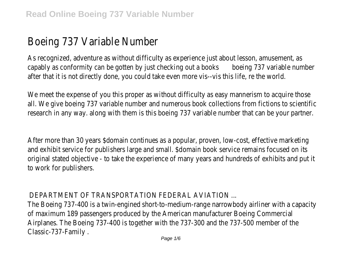## Boeing 737 Variable Number

As recognized, adventure as without difficulty as experience just about lesson, amusement, as capably as conformity can be gotten by just checking out a books boeing 737 variable number after that it is not directly done, you could take even more vis--vis this life, re the world.

We meet the expense of you this proper as without difficulty as easy mannerism to acquire those all. We give boeing 737 variable number and numerous book collections from fictions to scientific research in any way. along with them is this boeing 737 variable number that can be your partner.

After more than 30 years \$domain continues as a popular, proven, low-cost, effective marketing and exhibit service for publishers large and small. \$domain book service remains focused on its original stated objective - to take the experience of many years and hundreds of exhibits and put it to work for publishers.

## DEPARTMENT OF TRANSPORTATION FEDERAL AVIATION ...

The Boeing 737-400 is a twin-engined short-to-medium-range narrowbody airliner with a capacity of maximum 189 passengers produced by the American manufacturer Boeing Commercial Airplanes. The Boeing 737-400 is together with the 737-300 and the 737-500 member of the Classic-737-Family .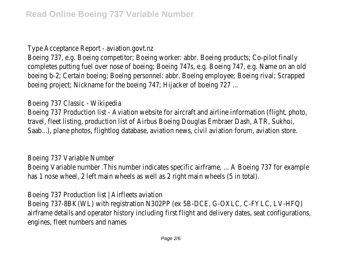Type Acceptance Report - aviation.govt.nz

Boeing 737, e.g. Boeing competitor; Boeing worker: abbr. Boeing products; Co-pilot finally completes putting fuel over nose of boeing; Boeing 747s, e.g. Boeing 747, e.g. Name on an old boeing b-2; Certain boeing; Boeing personnel: abbr. Boeing employee; Boeing rival; Scrapped boeing project; Nickname for the boeing 747; Hijacker of boeing 727 ...

Boeing 737 Classic - Wikipedia

Boeing 737 Production list - Aviation website for aircraft and airline information (flight, photo, travel, fleet listing, production list of Airbus Boeing Douglas Embraer Dash, ATR, Sukhoi, Saab...), plane photos, flightlog database, aviation news, civil aviation forum, aviation store.

Boeing 737 Variable Number Boeing Variable number .This number indicates specific airframe, ... A Boeing 737 for example has 1 nose wheel, 2 left main wheels as well as 2 right main wheels (5 in total).

Boeing 737 Production list | Airfleets aviation Boeing 737-8BK(WL) with registration N302PP (ex 5B-DCE, G-OXLC, C-FYLC, LV-HFQ) airframe details and operator history including first flight and delivery dates, seat configurations, engines, fleet numbers and names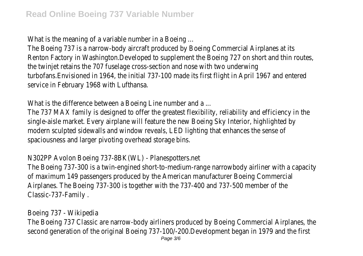What is the meaning of a variable number in a Boeing ...

The Boeing 737 is a narrow-body aircraft produced by Boeing Commercial Airplanes at its Renton Factory in Washington.Developed to supplement the Boeing 727 on short and thin routes, the twinjet retains the 707 fuselage cross-section and nose with two underwing turbofans.Envisioned in 1964, the initial 737-100 made its first flight in April 1967 and entered service in February 1968 with Lufthansa.

What is the difference between a Boeing Line number and a ...

The 737 MAX family is designed to offer the greatest flexibility, reliability and efficiency in the single-aisle market. Every airplane will feature the new Boeing Sky Interior, highlighted by modern sculpted sidewalls and window reveals, LED lighting that enhances the sense of spaciousness and larger pivoting overhead storage bins.

## N302PP Avolon Boeing 737-8BK(WL) - Planespotters.net

The Boeing 737-300 is a twin-engined short-to-medium-range narrowbody airliner with a capacity of maximum 149 passengers produced by the American manufacturer Boeing Commercial Airplanes. The Boeing 737-300 is together with the 737-400 and 737-500 member of the Classic-737-Family .

Boeing 737 - Wikipedia

The Boeing 737 Classic are narrow-body airliners produced by Boeing Commercial Airplanes, the second generation of the original Boeing 737-100/-200.Development began in 1979 and the first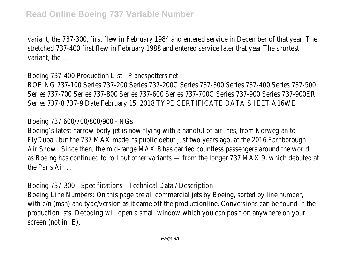variant, the 737-300, first flew in February 1984 and entered service in December of that year. The stretched 737-400 first flew in February 1988 and entered service later that year The shortest variant, the ...

Boeing 737-400 Production List - Planespotters.net BOEING 737-100 Series 737-200 Series 737-200C Series 737-300 Series 737-400 Series 737-500 Series 737-700 Series 737-800 Series 737-600 Series 737-700C Series 737-900 Series 737-900ER Series 737-8 737-9 Date February 15, 2018 TYPE CERTIFICATE DATA SHEET A16WE

Boeing 737 600/700/800/900 - NGs

Boeing's latest narrow-body jet is now flying with a handful of airlines, from Norwegian to FlyDubai, but the 737 MAX made its public debut just two years ago, at the 2016 Farnborough Air Show.. Since then, the mid-range MAX 8 has carried countless passengers around the world, as Boeing has continued to roll out other variants — from the longer 737 MAX 9, which debuted at the Paris Air ...

Boeing 737-300 - Specifications - Technical Data / Description Boeing Line Numbers: On this page are all commercial jets by Boeing, sorted by line number, with c/n (msn) and type/version as it came off the productionline. Conversions can be found in the productionlists. Decoding will open a small window which you can position anywhere on your screen (not in IE).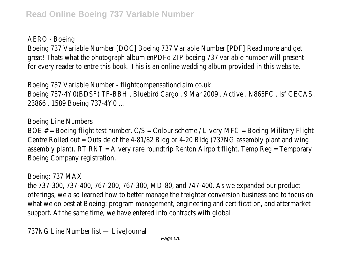AERO - Boeing

Boeing 737 Variable Number [DOC] Boeing 737 Variable Number [PDF] Read more and get great! Thats what the photograph album enPDFd ZIP boeing 737 variable number will present for every reader to entre this book. This is an online wedding album provided in this website.

Boeing 737 Variable Number - flightcompensationclaim.co.uk Boeing 737-4Y0(BDSF) TF-BBH . Bluebird Cargo . 9 Mar 2009 . Active . N865FC . lsf GECAS . 23866 . 1589 Boeing 737-4Y0 ...

Boeing Line Numbers

BOE  $#$  = Boeing flight test number.  $\mathsf{C/S}$  = Colour scheme / Livery MFC = Boeing Military Flight Centre Rolled out = Outside of the 4-81/82 Bldg or 4-20 Bldg (737NG assembly plant and wing assembly plant). RT RNT = A very rare roundtrip Renton Airport flight. Temp Reg = Temporary Boeing Company registration.

Boeing: 737 MAX

the 737-300, 737-400, 767-200, 767-300, MD-80, and 747-400. As we expanded our product offerings, we also learned how to better manage the freighter conversion business and to focus on what we do best at Boeing: program management, engineering and certification, and aftermarket support. At the same time, we have entered into contracts with global

737NG Line Number list — LiveJournal